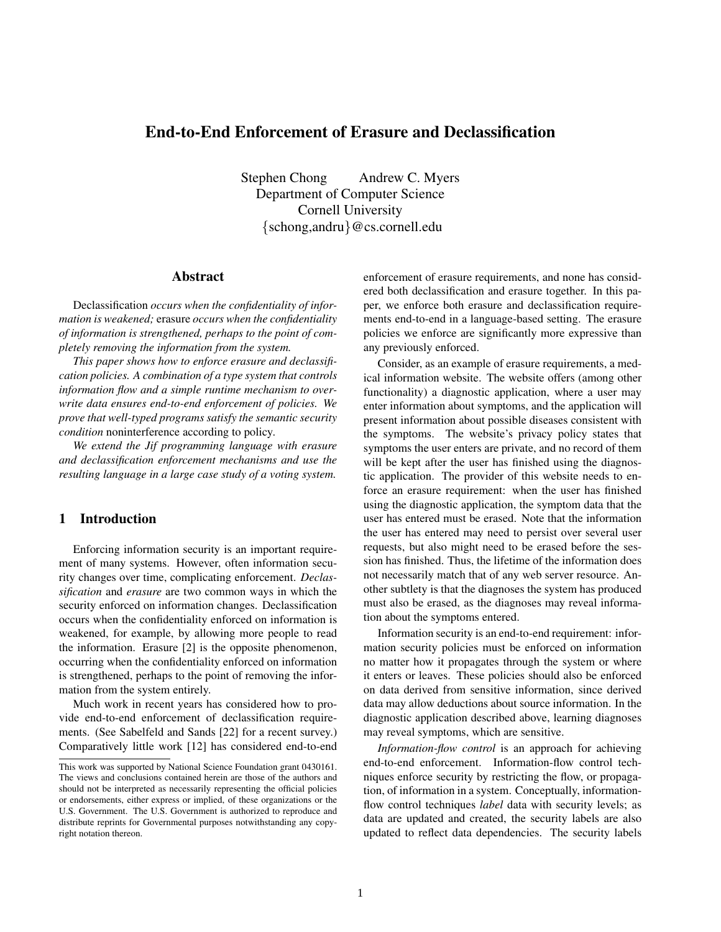# End-to-End Enforcement of Erasure and Declassification

Stephen Chong Andrew C. Myers Department of Computer Science Cornell University {schong,andru}@cs.cornell.edu

### Abstract

Declassification *occurs when the confidentiality of information is weakened;* erasure *occurs when the confidentiality of information is strengthened, perhaps to the point of completely removing the information from the system.*

*This paper shows how to enforce erasure and declassification policies. A combination of a type system that controls information flow and a simple runtime mechanism to overwrite data ensures end-to-end enforcement of policies. We prove that well-typed programs satisfy the semantic security condition* noninterference according to policy*.*

*We extend the Jif programming language with erasure and declassification enforcement mechanisms and use the resulting language in a large case study of a voting system.*

# 1 Introduction

Enforcing information security is an important requirement of many systems. However, often information security changes over time, complicating enforcement. *Declassification* and *erasure* are two common ways in which the security enforced on information changes. Declassification occurs when the confidentiality enforced on information is weakened, for example, by allowing more people to read the information. Erasure [2] is the opposite phenomenon, occurring when the confidentiality enforced on information is strengthened, perhaps to the point of removing the information from the system entirely.

Much work in recent years has considered how to provide end-to-end enforcement of declassification requirements. (See Sabelfeld and Sands [22] for a recent survey.) Comparatively little work [12] has considered end-to-end enforcement of erasure requirements, and none has considered both declassification and erasure together. In this paper, we enforce both erasure and declassification requirements end-to-end in a language-based setting. The erasure policies we enforce are significantly more expressive than any previously enforced.

Consider, as an example of erasure requirements, a medical information website. The website offers (among other functionality) a diagnostic application, where a user may enter information about symptoms, and the application will present information about possible diseases consistent with the symptoms. The website's privacy policy states that symptoms the user enters are private, and no record of them will be kept after the user has finished using the diagnostic application. The provider of this website needs to enforce an erasure requirement: when the user has finished using the diagnostic application, the symptom data that the user has entered must be erased. Note that the information the user has entered may need to persist over several user requests, but also might need to be erased before the session has finished. Thus, the lifetime of the information does not necessarily match that of any web server resource. Another subtlety is that the diagnoses the system has produced must also be erased, as the diagnoses may reveal information about the symptoms entered.

Information security is an end-to-end requirement: information security policies must be enforced on information no matter how it propagates through the system or where it enters or leaves. These policies should also be enforced on data derived from sensitive information, since derived data may allow deductions about source information. In the diagnostic application described above, learning diagnoses may reveal symptoms, which are sensitive.

*Information-flow control* is an approach for achieving end-to-end enforcement. Information-flow control techniques enforce security by restricting the flow, or propagation, of information in a system. Conceptually, informationflow control techniques *label* data with security levels; as data are updated and created, the security labels are also updated to reflect data dependencies. The security labels

This work was supported by National Science Foundation grant 0430161. The views and conclusions contained herein are those of the authors and should not be interpreted as necessarily representing the official policies or endorsements, either express or implied, of these organizations or the U.S. Government. The U.S. Government is authorized to reproduce and distribute reprints for Governmental purposes notwithstanding any copyright notation thereon.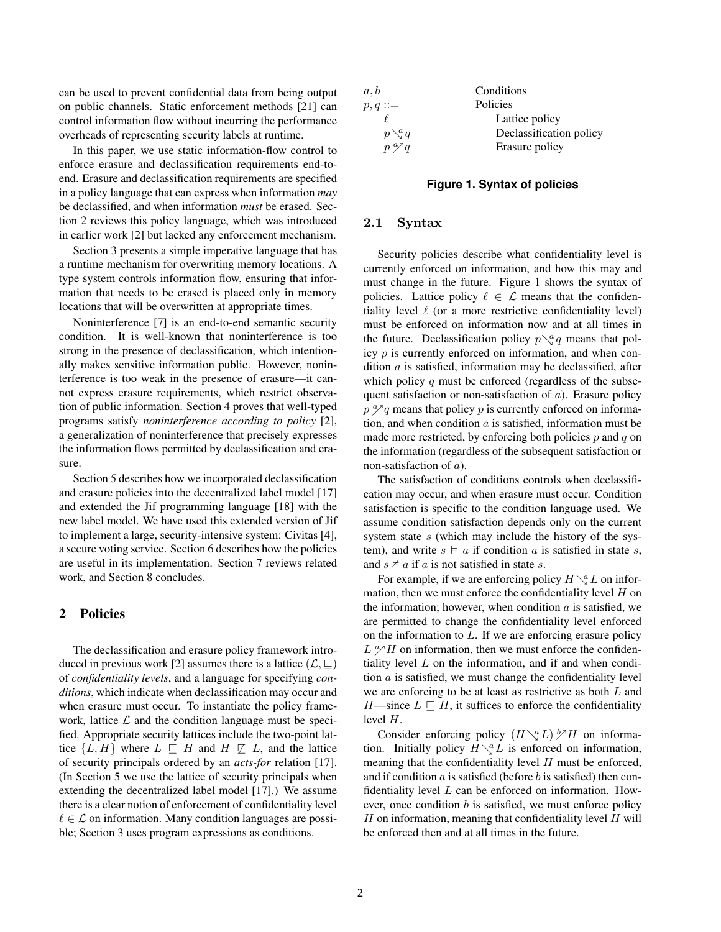can be used to prevent confidential data from being output on public channels. Static enforcement methods [21] can control information flow without incurring the performance overheads of representing security labels at runtime.

In this paper, we use static information-flow control to enforce erasure and declassification requirements end-toend. Erasure and declassification requirements are specified in a policy language that can express when information *may* be declassified, and when information *must* be erased. Section 2 reviews this policy language, which was introduced in earlier work [2] but lacked any enforcement mechanism.

Section 3 presents a simple imperative language that has a runtime mechanism for overwriting memory locations. A type system controls information flow, ensuring that information that needs to be erased is placed only in memory locations that will be overwritten at appropriate times.

Noninterference [7] is an end-to-end semantic security condition. It is well-known that noninterference is too strong in the presence of declassification, which intentionally makes sensitive information public. However, noninterference is too weak in the presence of erasure—it cannot express erasure requirements, which restrict observation of public information. Section 4 proves that well-typed programs satisfy *noninterference according to policy* [2], a generalization of noninterference that precisely expresses the information flows permitted by declassification and erasure.

Section 5 describes how we incorporated declassification and erasure policies into the decentralized label model [17] and extended the Jif programming language [18] with the new label model. We have used this extended version of Jif to implement a large, security-intensive system: Civitas [4], a secure voting service. Section 6 describes how the policies are useful in its implementation. Section 7 reviews related work, and Section 8 concludes.

# 2 Policies

The declassification and erasure policy framework introduced in previous work [2] assumes there is a lattice  $(\mathcal{L}, \sqsubseteq)$ of *confidentiality levels*, and a language for specifying *conditions*, which indicate when declassification may occur and when erasure must occur. To instantiate the policy framework, lattice  $\mathcal L$  and the condition language must be specified. Appropriate security lattices include the two-point lattice  $\{L, H\}$  where  $L \subseteq H$  and  $H \nsubseteq L$ , and the lattice of security principals ordered by an *acts-for* relation [17]. (In Section 5 we use the lattice of security principals when extending the decentralized label model [17].) We assume there is a clear notion of enforcement of confidentiality level  $\ell \in \mathcal{L}$  on information. Many condition languages are possible; Section 3 uses program expressions as conditions.

| a, b             | Conditions              |
|------------------|-------------------------|
| $p, q ::=$       | Policies                |
|                  | Lattice policy          |
| $p \searrow^a q$ | Declassification policy |
| $p \frac{a}{2}q$ | Erasure policy          |

#### **Figure 1. Syntax of policies**

### 2.1 Syntax

Security policies describe what confidentiality level is currently enforced on information, and how this may and must change in the future. Figure 1 shows the syntax of policies. Lattice policy  $\ell \in \mathcal{L}$  means that the confidentiality level  $\ell$  (or a more restrictive confidentiality level) must be enforced on information now and at all times in the future. Declassification policy  $p \setminus q q$  means that policy  $p$  is currently enforced on information, and when condition  $a$  is satisfied, information may be declassified, after which policy  $q$  must be enforced (regardless of the subsequent satisfaction or non-satisfaction of  $a$ ). Erasure policy  $p \nrightarrow q$  means that policy p is currently enforced on information, and when condition  $a$  is satisfied, information must be made more restricted, by enforcing both policies  $p$  and  $q$  on the information (regardless of the subsequent satisfaction or non-satisfaction of a).

The satisfaction of conditions controls when declassification may occur, and when erasure must occur. Condition satisfaction is specific to the condition language used. We assume condition satisfaction depends only on the current system state s (which may include the history of the system), and write  $s \models a$  if condition a is satisfied in state s, and  $s \not\vDash a$  if a is not satisfied in state s.

For example, if we are enforcing policy  $H\setminus^a L$  on information, then we must enforce the confidentiality level  $H$  on the information; however, when condition  $a$  is satisfied, we are permitted to change the confidentiality level enforced on the information to  $L$ . If we are enforcing erasure policy  $L \mathcal{A} H$  on information, then we must enforce the confidentiality level  $L$  on the information, and if and when condition  $a$  is satisfied, we must change the confidentiality level we are enforcing to be at least as restrictive as both L and  $H$ —since  $L \sqsubseteq H$ , it suffices to enforce the confidentiality level  $H$ .

Consider enforcing policy  $(H\setminus^a L)$   $\ntriangleright\!\!\!\!\!\nearrow H$  on information. Initially policy  $H \setminus^a L$  is enforced on information, meaning that the confidentiality level  $H$  must be enforced, and if condition  $a$  is satisfied (before  $b$  is satisfied) then confidentiality level  $L$  can be enforced on information. However, once condition  $b$  is satisfied, we must enforce policy  $H$  on information, meaning that confidentiality level  $H$  will be enforced then and at all times in the future.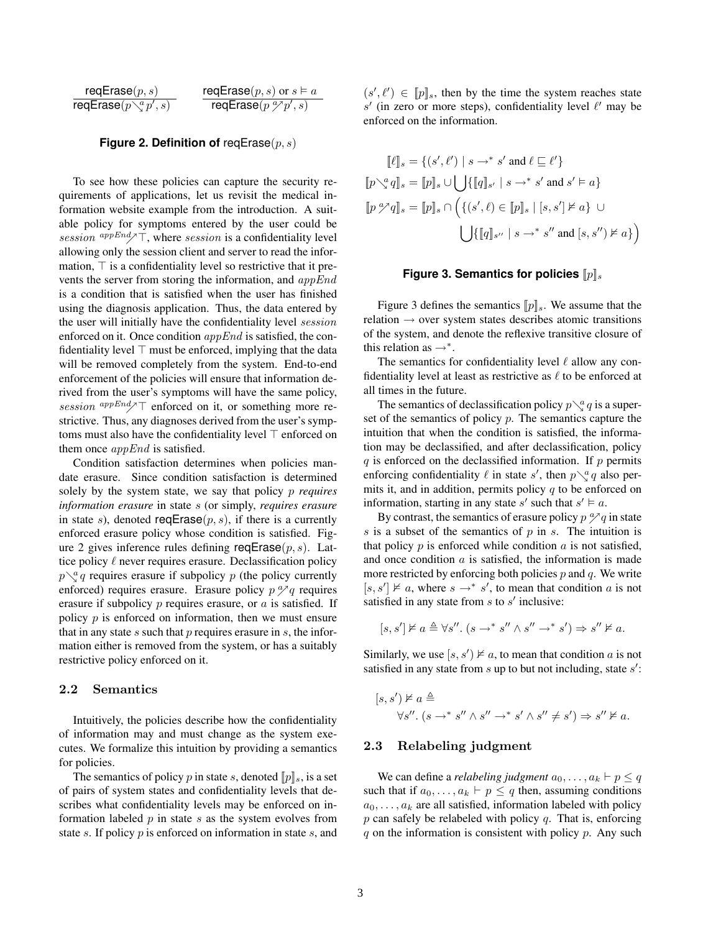$$
\frac{\text{req} \text{Frase}(p, s)}{\text{req} \text{Frase}(p \setminus_q^a p', s)} \qquad \frac{\text{req} \text{Frase}(p, s) \text{ or } s \vDash a}{\text{req} \text{Frase}(p \stackrel{\alpha}{p'} p', s)}
$$

### **Figure 2. Definition of** reqErase(p, s)

To see how these policies can capture the security requirements of applications, let us revisit the medical information website example from the introduction. A suitable policy for symptoms entered by the user could be session  $^{appEnd} \nearrow$ , where session is a confidentiality level allowing only the session client and server to read the information,  $\top$  is a confidentiality level so restrictive that it prevents the server from storing the information, and  $appEnd$ is a condition that is satisfied when the user has finished using the diagnosis application. Thus, the data entered by the user will initially have the confidentiality level session enforced on it. Once condition  $appEnd$  is satisfied, the confidentiality level  $\top$  must be enforced, implying that the data will be removed completely from the system. End-to-end enforcement of the policies will ensure that information derived from the user's symptoms will have the same policy, session  $^{appEnd}$ <sup> $\top$ </sup> enforced on it, or something more restrictive. Thus, any diagnoses derived from the user's symptoms must also have the confidentiality level  $\top$  enforced on them once  $appEnd$  is satisfied.

Condition satisfaction determines when policies mandate erasure. Since condition satisfaction is determined solely by the system state, we say that policy p *requires information erasure* in state s (or simply, *requires erasure* in state s), denoted  $reqEnase(p, s)$ , if there is a currently enforced erasure policy whose condition is satisfied. Figure 2 gives inference rules defining  $reqEnase(p, s)$ . Lattice policy  $\ell$  never requires erasure. Declassification policy  $p\mathcal{A}q$  requires erasure if subpolicy p (the policy currently enforced) requires erasure. Erasure policy  $p \, \frac{\alpha}{4} q$  requires erasure if subpolicy  $p$  requires erasure, or  $a$  is satisfied. If policy  $p$  is enforced on information, then we must ensure that in any state  $s$  such that  $p$  requires erasure in  $s$ , the information either is removed from the system, or has a suitably restrictive policy enforced on it.

#### 2.2 Semantics

Intuitively, the policies describe how the confidentiality of information may and must change as the system executes. We formalize this intuition by providing a semantics for policies.

The semantics of policy p in state s, denoted  $[p]_s$ , is a set of pairs of system states and confidentiality levels that describes what confidentiality levels may be enforced on information labeled  $p$  in state  $s$  as the system evolves from state s. If policy p is enforced on information in state s, and

 $(s', \ell') \in [p]_s$ , then by the time the system reaches state  $s'$  (in zero or more steps), confidentiality level  $\ell'$  may be enforced on the information.

$$
\llbracket \ell \rrbracket_s = \{ (s', \ell') \mid s \to^* s' \text{ and } \ell \sqsubseteq \ell' \}
$$

$$
\llbracket p \searrow^a q \rrbracket_s = \llbracket p \rrbracket_s \cup \bigcup \{ \llbracket q \rrbracket_{s'} \mid s \to^* s' \text{ and } s' \vDash a \}
$$

$$
\llbracket p \not\supseteq q \rrbracket_s = \llbracket p \rrbracket_s \cap \left( \{ (s', \ell) \in \llbracket p \rrbracket_s \mid [s, s'] \nvdash a \} \cup \bigcup \{ \llbracket q \rrbracket_{s''} \mid s \to^* s'' \text{ and } [s, s'') \nvdash a \} \right)
$$

#### **Figure 3. Semantics for policies**  $[p]_s$

Figure 3 defines the semantics  $[p]_s$ . We assume that the relation  $\rightarrow$  over system states describes atomic transitions of the system, and denote the reflexive transitive closure of this relation as  $\rightarrow^*$ .

The semantics for confidentiality level  $\ell$  allow any confidentiality level at least as restrictive as  $\ell$  to be enforced at all times in the future.

The semantics of declassification policy  $p \setminus q q$  is a superset of the semantics of policy  $p$ . The semantics capture the intuition that when the condition is satisfied, the information may be declassified, and after declassification, policy  $q$  is enforced on the declassified information. If  $p$  permits enforcing confidentiality  $\ell$  in state s', then  $p \setminus q q$  also permits it, and in addition, permits policy  $q$  to be enforced on information, starting in any state s' such that  $s' \vDash a$ .

By contrast, the semantics of erasure policy  $p \, \frac{\alpha}{4} q$  in state s is a subset of the semantics of  $p$  in  $s$ . The intuition is that policy  $p$  is enforced while condition  $a$  is not satisfied, and once condition  $a$  is satisfied, the information is made more restricted by enforcing both policies  $p$  and  $q$ . We write  $[s, s'] \not\vDash a$ , where  $s \to^* s'$ , to mean that condition a is not satisfied in any state from  $s$  to  $s'$  inclusive:

$$
[s, s'] \nvDash a \triangleq \forall s''.\ (s \rightarrow^* s'' \land s'' \rightarrow^* s') \Rightarrow s'' \nvDash a.
$$

Similarly, we use  $[s, s') \not\vDash a$ , to mean that condition a is not satisfied in any state from  $s$  up to but not including, state  $s'$ :

$$
[s, s') \not\vDash a \triangleq
$$
  
\n
$$
\forall s'' \ldotp (s \rightarrow^* s'' \land s'' \rightarrow^* s' \land s'' \neq s') \Rightarrow s'' \not\vDash a.
$$

### 2.3 Relabeling judgment

We can define a *relabeling judgment*  $a_0, \ldots, a_k \vdash p \leq q$ such that if  $a_0, \ldots, a_k \vdash p \leq q$  then, assuming conditions  $a_0, \ldots, a_k$  are all satisfied, information labeled with policy  $p$  can safely be relabeled with policy  $q$ . That is, enforcing  $q$  on the information is consistent with policy  $p$ . Any such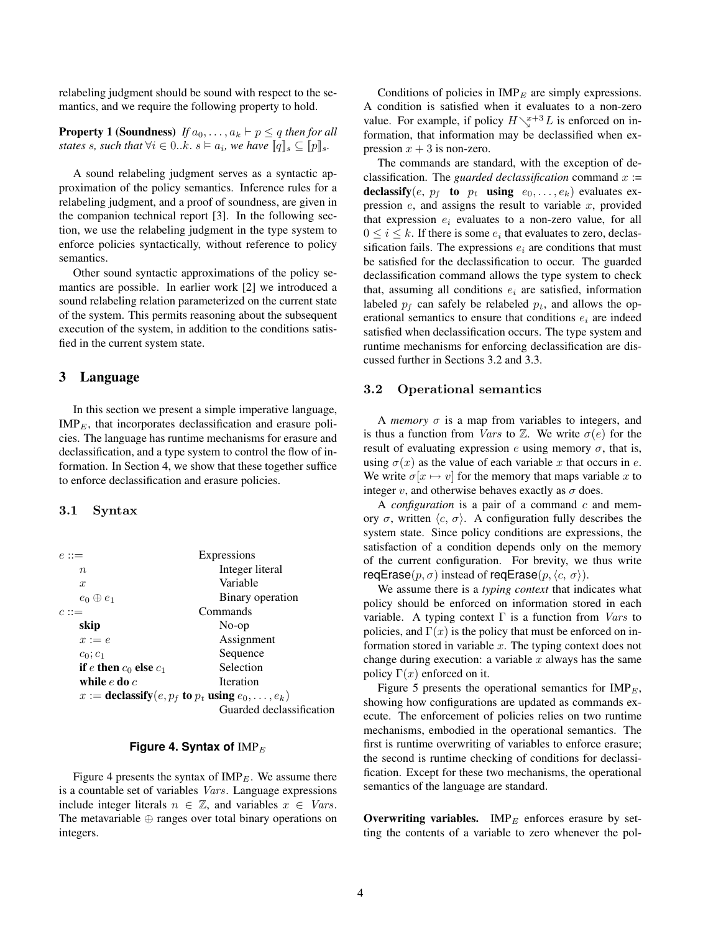relabeling judgment should be sound with respect to the semantics, and we require the following property to hold.

**Property 1 (Soundness)** *If*  $a_0, \ldots, a_k \vdash p \leq q$  *then for all states s*, *such that*  $\forall i \in 0..k$ *.*  $s \models a_i$ *, we have*  $[q]_s \subseteq [p]_s$ *.* 

A sound relabeling judgment serves as a syntactic approximation of the policy semantics. Inference rules for a relabeling judgment, and a proof of soundness, are given in the companion technical report [3]. In the following section, we use the relabeling judgment in the type system to enforce policies syntactically, without reference to policy semantics.

Other sound syntactic approximations of the policy semantics are possible. In earlier work [2] we introduced a sound relabeling relation parameterized on the current state of the system. This permits reasoning about the subsequent execution of the system, in addition to the conditions satisfied in the current system state.

# 3 Language

In this section we present a simple imperative language,  $IMP<sub>E</sub>$ , that incorporates declassification and erasure policies. The language has runtime mechanisms for erasure and declassification, and a type system to control the flow of information. In Section 4, we show that these together suffice to enforce declassification and erasure policies.

### 3.1 Syntax

| $e ::=$                                                       | Expressions              |  |  |  |  |
|---------------------------------------------------------------|--------------------------|--|--|--|--|
| $\boldsymbol{n}$                                              | Integer literal          |  |  |  |  |
| $\boldsymbol{x}$                                              | Variable                 |  |  |  |  |
| $e_0 \oplus e_1$                                              | Binary operation         |  |  |  |  |
| $c ::=$                                                       | Commands                 |  |  |  |  |
| skip                                                          | $No$ -op                 |  |  |  |  |
| $x := e$                                                      | Assignment               |  |  |  |  |
| $c_0$ ; $c_1$                                                 | Sequence                 |  |  |  |  |
| if e then $c_0$ else $c_1$                                    | Selection                |  |  |  |  |
| while $e$ do $c$                                              | Iteration                |  |  |  |  |
| x := declassify $(e, p_f$ to $p_t$ using $e_0, \ldots, e_k$ ) |                          |  |  |  |  |
|                                                               | Guarded declassification |  |  |  |  |
|                                                               |                          |  |  |  |  |

#### **Figure 4. Syntax of IMP**<sub>E</sub>

Figure 4 presents the syntax of  $IMP<sub>E</sub>$ . We assume there is a countable set of variables Vars. Language expressions include integer literals  $n \in \mathbb{Z}$ , and variables  $x \in Vars$ . The metavariable ⊕ ranges over total binary operations on integers.

Conditions of policies in  $IMP<sub>E</sub>$  are simply expressions. A condition is satisfied when it evaluates to a non-zero value. For example, if policy  $H\setminus\{x+3}L$  is enforced on information, that information may be declassified when expression  $x + 3$  is non-zero.

The commands are standard, with the exception of declassification. The *guarded declassification* command  $x :=$ declassify(*e*,  $p_f$  to  $p_t$  using  $e_0, \ldots, e_k$ ) evaluates expression  $e$ , and assigns the result to variable  $x$ , provided that expression  $e_i$  evaluates to a non-zero value, for all  $0 \leq i \leq k$ . If there is some  $e_i$  that evaluates to zero, declassification fails. The expressions  $e_i$  are conditions that must be satisfied for the declassification to occur. The guarded declassification command allows the type system to check that, assuming all conditions  $e_i$  are satisfied, information labeled  $p_f$  can safely be relabeled  $p_t$ , and allows the operational semantics to ensure that conditions  $e_i$  are indeed satisfied when declassification occurs. The type system and runtime mechanisms for enforcing declassification are discussed further in Sections 3.2 and 3.3.

#### 3.2 Operational semantics

A *memory*  $\sigma$  is a map from variables to integers, and is thus a function from *Vars* to  $\mathbb{Z}$ . We write  $\sigma(e)$  for the result of evaluating expression e using memory  $\sigma$ , that is, using  $\sigma(x)$  as the value of each variable x that occurs in e. We write  $\sigma[x \mapsto v]$  for the memory that maps variable x to integer v, and otherwise behaves exactly as  $\sigma$  does.

A *configuration* is a pair of a command c and memory σ, written  $\langle c, \sigma \rangle$ . A configuration fully describes the system state. Since policy conditions are expressions, the satisfaction of a condition depends only on the memory of the current configuration. For brevity, we thus write reqErase( $p, \sigma$ ) instead of reqErase( $p, \langle c, \sigma \rangle$ ).

We assume there is a *typing context* that indicates what policy should be enforced on information stored in each variable. A typing context  $\Gamma$  is a function from *Vars* to policies, and  $\Gamma(x)$  is the policy that must be enforced on information stored in variable  $x$ . The typing context does not change during execution: a variable  $x$  always has the same policy  $\Gamma(x)$  enforced on it.

Figure 5 presents the operational semantics for  $IMP<sub>E</sub>$ , showing how configurations are updated as commands execute. The enforcement of policies relies on two runtime mechanisms, embodied in the operational semantics. The first is runtime overwriting of variables to enforce erasure; the second is runtime checking of conditions for declassification. Except for these two mechanisms, the operational semantics of the language are standard.

Overwriting variables. IMP<sub>E</sub> enforces erasure by setting the contents of a variable to zero whenever the pol-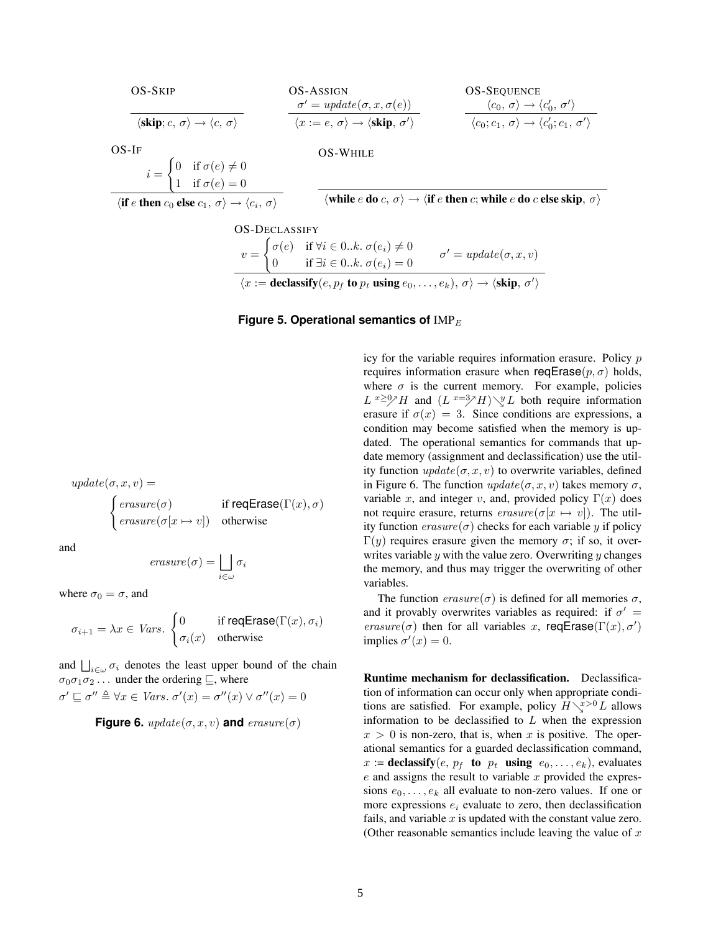OS-SKIP  
\nOS-ASKIP  
\nOS-ASKIN  
\nOS-REQUENCE  
\n
$$
\sigma' = update(\sigma, x, \sigma(e))
$$
  
\n $\langle c_0, \sigma \rangle \rightarrow \langle c'_0, \sigma' \rangle$   
\n $\langle c_0, \sigma \rangle \rightarrow \langle c'_0, \sigma' \rangle$   
\nOS-IF  
\nOS-WHILE  
\nOS-WHILE  
\n $i = \begin{cases} 0 & \text{if } \sigma(e) \neq 0 \\ 1 & \text{if } \sigma(e) = 0 \end{cases}$   
\n $\langle \mathbf{if } e \text{ then } c_0 \text{ else } c_1, \sigma \rangle \rightarrow \langle c_i, \sigma \rangle$   
\nOS-DECLASSIFY  
\n $v = \begin{cases} \sigma(e) & \text{if } \forall i \in 0..k. \space \sigma(e_i) \neq 0 \\ \text{if } \forall i \in 0..k. \space \sigma(e_i) \neq 0 \\ \text{if } \forall i \in 0..k. \space \sigma(e_i) \neq 0 \\ \text{if } \forall i \in 0..k. \space \sigma(e_i) \neq 0 \\ \text{if } \forall i \in 0..k. \space \sigma(e_i) \neq 0 \\ \text{if } \forall i \in 0..k. \space \sigma(e_i) \neq 0 \\ \text{if } \forall i \in 0..k. \space \sigma(e_i) \neq 0 \\ \text{if } \forall i \in 0..k. \space \sigma(e_i) \neq 0 \\ \text{if } \forall i \in 0..k. \space \sigma(e_i) \neq 0 \\ \text{if } \forall i \in 0..k. \space \sigma(e_i) \neq 0 \\ \text{if } \forall i \in 0..k. \space \sigma(e_i) \neq 0 \\ \text{if } \forall i \in 0..k. \space \sigma(e_i) \neq 0 \\ \text{if } \forall i \in 0..k. \space \sigma(e_i) \neq 0 \\ \text{if } \forall i \in 0..k. \space \sigma(e_i) \neq 0 \\ \text{if } \forall i \in 0..k. \space \sigma(e_i) \neq 0 \\ \text{if } \forall i \in 0..k. \space \sigma(e_i) \neq 0 \\ \text{if } \forall i \in 0..k. \space \sigma(e_i) \neq 0 \\ \text{if } \forall i \in 0..k. \space \sigma(e_i) \neq 0 \\ \text{if }$ 

$$
\begin{aligned}\n\left(0 & \text{if } \exists i \in 0..k. \ \sigma(e_i) = 0\n\end{aligned}\right.\n\quad\n\begin{aligned}\n\left(x := \text{declassify}(e, p_f \text{ to } p_t \text{ using } e_0, \ldots, e_k), \sigma\right) \to \langle \text{skip}, \sigma' \rangle\n\end{aligned}
$$

### **Figure 5. Operational semantics of IMP**<sub>E</sub>

 $update(\sigma, x, v) =$ 

$$
\begin{cases} \text{} \text{} & \text{if } \text{req} \text{}(\Gamma(x), \sigma) \\ \text{} & \text{if } \text{req} \text{}(\Gamma(x), \sigma) \end{cases}
$$

and

$$
erasure(\sigma) = \bigsqcup_{i \in \omega} \sigma_i
$$

where  $\sigma_0 = \sigma$ , and

$$
\sigma_{i+1} = \lambda x \in Vars. \begin{cases} 0 & \text{if } \text{req} \in \text{rase}(\Gamma(x), \sigma_i) \\ \sigma_i(x) & \text{otherwise} \end{cases}
$$

and  $\bigsqcup_{i\in\omega}\sigma_i$  denotes the least upper bound of the chain  $\sigma_0 \sigma_1 \sigma_2 \ldots$  under the ordering  $\sqsubseteq$ , where

$$
\sigma' \sqsubseteq \sigma'' \triangleq \forall x \in \text{Vars. } \sigma'(x) = \sigma''(x) \lor \sigma''(x) = 0
$$

**Figure 6.**  $update(\sigma, x, v)$  and  $erasure(\sigma)$ 

icy for the variable requires information erasure. Policy p requires information erasure when  $reqErase(p, \sigma)$  holds, where  $\sigma$  is the current memory. For example, policies  $L^{x\geq 0}$  H and  $(L^{x=3}$  H  $\setminus$  U both require information erasure if  $\sigma(x) = 3$ . Since conditions are expressions, a condition may become satisfied when the memory is updated. The operational semantics for commands that update memory (assignment and declassification) use the utility function  $update(\sigma, x, v)$  to overwrite variables, defined in Figure 6. The function  $update(\sigma, x, v)$  takes memory  $\sigma$ , variable x, and integer v, and, provided policy  $\Gamma(x)$  does not require erasure, returns  $\text{erasure}(\sigma[x \mapsto v])$ . The utility function  $\text{erasure}(\sigma)$  checks for each variable y if policy  $Γ(y)$  requires erasure given the memory  $σ$ ; if so, it overwrites variable  $y$  with the value zero. Overwriting  $y$  changes the memory, and thus may trigger the overwriting of other variables.

The function  $\text{erasure}(\sigma)$  is defined for all memories  $\sigma$ , and it provably overwrites variables as required: if  $\sigma' =$ erasure( $\sigma$ ) then for all variables x, reqErase( $\Gamma(x)$ ,  $\sigma'$ ) implies  $\sigma'(x) = 0$ .

Runtime mechanism for declassification. Declassification of information can occur only when appropriate conditions are satisfied. For example, policy  $H \setminus \mathbb{R}^{>0}$  L allows information to be declassified to  $L$  when the expression  $x > 0$  is non-zero, that is, when x is positive. The operational semantics for a guarded declassification command, x := declassify(e,  $p_f$  to  $p_t$  using  $e_0, \ldots, e_k$ ), evaluates  $e$  and assigns the result to variable  $x$  provided the expressions  $e_0, \ldots, e_k$  all evaluate to non-zero values. If one or more expressions  $e_i$  evaluate to zero, then declassification fails, and variable  $x$  is updated with the constant value zero. (Other reasonable semantics include leaving the value of  $x$ )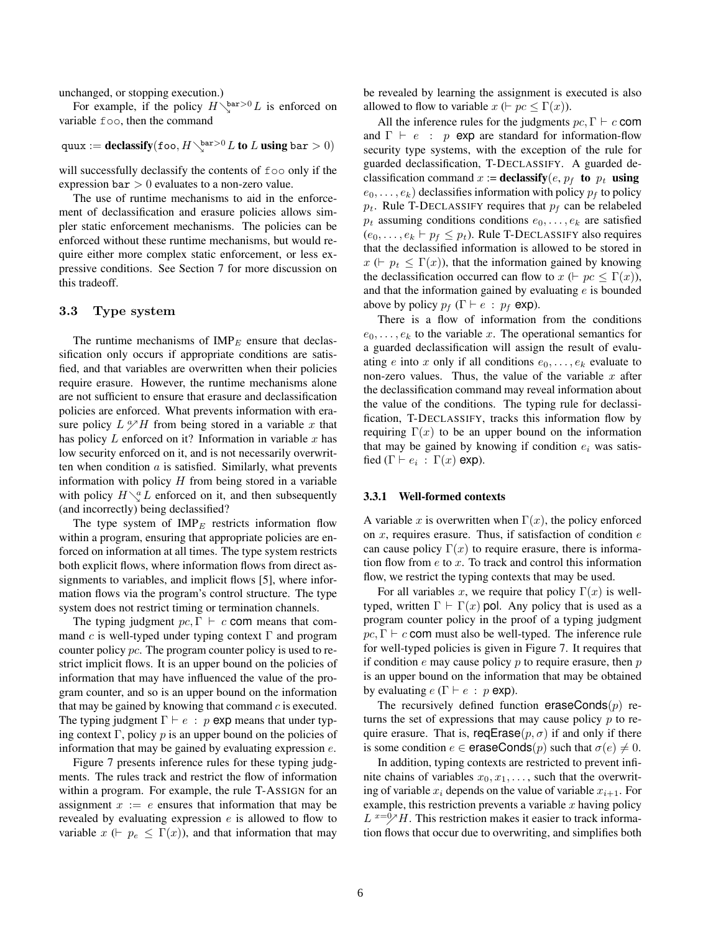unchanged, or stopping execution.)

For example, if the policy  $H\setminus^{\text{bar}>0}L$  is enforced on variable foo, then the command

quux := **declassify**(foo,  $H \searrow^{\text{bar}>0} L$  to L using bar > 0)

will successfully declassify the contents of foo only if the expression  $bar > 0$  evaluates to a non-zero value.

The use of runtime mechanisms to aid in the enforcement of declassification and erasure policies allows simpler static enforcement mechanisms. The policies can be enforced without these runtime mechanisms, but would require either more complex static enforcement, or less expressive conditions. See Section 7 for more discussion on this tradeoff.

### 3.3 Type system

The runtime mechanisms of  $IMP<sub>E</sub>$  ensure that declassification only occurs if appropriate conditions are satisfied, and that variables are overwritten when their policies require erasure. However, the runtime mechanisms alone are not sufficient to ensure that erasure and declassification policies are enforced. What prevents information with erasure policy  $L \mathcal{D} H$  from being stored in a variable x that has policy  $L$  enforced on it? Information in variable  $x$  has low security enforced on it, and is not necessarily overwritten when condition  $a$  is satisfied. Similarly, what prevents information with policy  $H$  from being stored in a variable with policy  $H\setminus^a L$  enforced on it, and then subsequently (and incorrectly) being declassified?

The type system of  $IMP<sub>E</sub>$  restricts information flow within a program, ensuring that appropriate policies are enforced on information at all times. The type system restricts both explicit flows, where information flows from direct assignments to variables, and implicit flows [5], where information flows via the program's control structure. The type system does not restrict timing or termination channels.

The typing judgment  $pc$ ,  $\Gamma \vdash c$  com means that command c is well-typed under typing context  $\Gamma$  and program counter policy pc. The program counter policy is used to restrict implicit flows. It is an upper bound on the policies of information that may have influenced the value of the program counter, and so is an upper bound on the information that may be gained by knowing that command  $c$  is executed. The typing judgment  $\Gamma \vdash e : p$  exp means that under typing context Γ, policy *p* is an upper bound on the policies of information that may be gained by evaluating expression e.

Figure 7 presents inference rules for these typing judgments. The rules track and restrict the flow of information within a program. For example, the rule T-ASSIGN for an assignment  $x := e$  ensures that information that may be revealed by evaluating expression  $e$  is allowed to flow to variable  $x \rvert \rvert p_e \leq \Gamma(x)$ , and that information that may be revealed by learning the assignment is executed is also allowed to flow to variable  $x \rvert p c \leq \Gamma(x)$ ).

All the inference rules for the judgments  $pc, \Gamma \vdash c$  com and  $\Gamma \vdash e$ : p exp are standard for information-flow security type systems, with the exception of the rule for guarded declassification, T-DECLASSIFY. A guarded declassification command  $x :=$  declassify(e,  $p_f$  to  $p_t$  using  $(e_0, \ldots, e_k)$  declassifies information with policy  $p_f$  to policy  $p_t$ . Rule T-DECLASSIFY requires that  $p_f$  can be relabeled  $p_t$  assuming conditions conditions  $e_0, \ldots, e_k$  are satisfied  $(e_0, \ldots, e_k \vdash p_f \leq p_t)$ . Rule T-DECLASSIFY also requires that the declassified information is allowed to be stored in  $x \rvert p_t \leq \Gamma(x)$ , that the information gained by knowing the declassification occurred can flow to  $x \rvert p c \leq \Gamma(x)$ ), and that the information gained by evaluating  $e$  is bounded above by policy  $p_f$  ( $\Gamma \vdash e : p_f$  exp).

There is a flow of information from the conditions  $e_0, \ldots, e_k$  to the variable x. The operational semantics for a guarded declassification will assign the result of evaluating e into x only if all conditions  $e_0, \ldots, e_k$  evaluate to non-zero values. Thus, the value of the variable  $x$  after the declassification command may reveal information about the value of the conditions. The typing rule for declassification, T-DECLASSIFY, tracks this information flow by requiring  $\Gamma(x)$  to be an upper bound on the information that may be gained by knowing if condition  $e_i$  was satisfied ( $\Gamma \vdash e_i : \Gamma(x)$  exp).

### 3.3.1 Well-formed contexts

A variable x is overwritten when  $\Gamma(x)$ , the policy enforced on  $x$ , requires erasure. Thus, if satisfaction of condition  $e$ can cause policy  $\Gamma(x)$  to require erasure, there is information flow from  $e$  to  $x$ . To track and control this information flow, we restrict the typing contexts that may be used.

For all variables x, we require that policy  $\Gamma(x)$  is welltyped, written  $\Gamma \vdash \Gamma(x)$  pol. Any policy that is used as a program counter policy in the proof of a typing judgment  $pc, \Gamma \vdash c$  com must also be well-typed. The inference rule for well-typed policies is given in Figure 7. It requires that if condition  $e$  may cause policy  $p$  to require erasure, then  $p$ is an upper bound on the information that may be obtained by evaluating  $e(\Gamma \vdash e : p \exp)$ .

The recursively defined function eraseConds $(p)$  returns the set of expressions that may cause policy  $p$  to require erasure. That is,  $reqErase(p, \sigma)$  if and only if there is some condition  $e \in \text{eraseConds}(p)$  such that  $\sigma(e) \neq 0$ .

In addition, typing contexts are restricted to prevent infinite chains of variables  $x_0, x_1, \ldots$ , such that the overwriting of variable  $x_i$  depends on the value of variable  $x_{i+1}$ . For example, this restriction prevents a variable  $x$  having policy  $L^{x=0}$  H. This restriction makes it easier to track information flows that occur due to overwriting, and simplifies both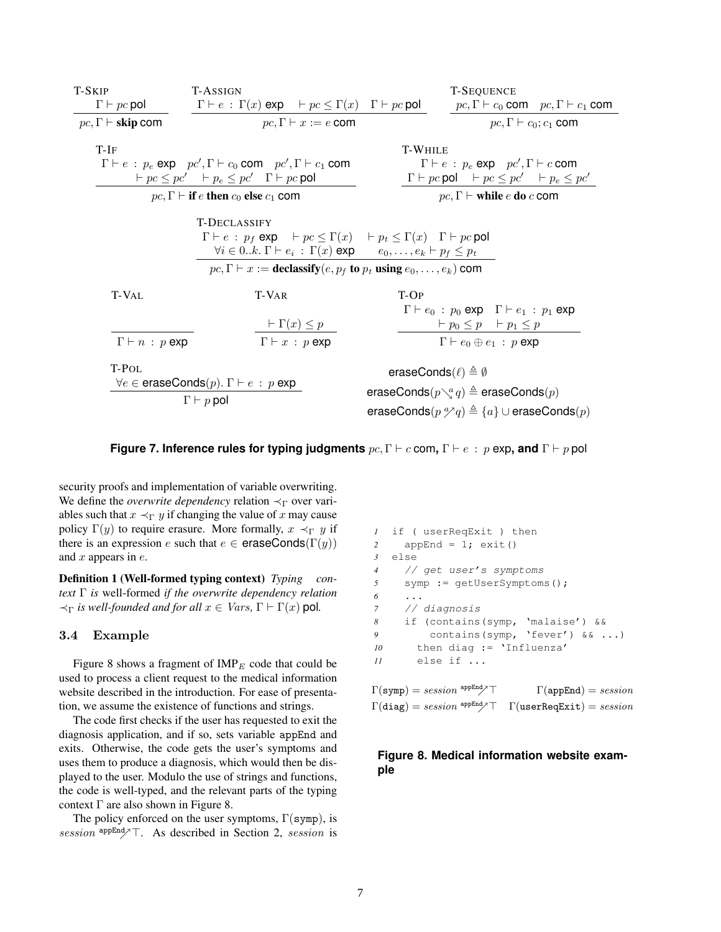| T-Skip                                                                                                 | <b>T-ASSIGN</b>                                                                                            |  | <b>T-SEQUENCE</b>                                                                              |                                                                      |  |  |  |
|--------------------------------------------------------------------------------------------------------|------------------------------------------------------------------------------------------------------------|--|------------------------------------------------------------------------------------------------|----------------------------------------------------------------------|--|--|--|
|                                                                                                        | $\Gamma \vdash pc$ pol $\Gamma \vdash e : \Gamma(x)$ exp $\vdash pc \leq \Gamma(x)$ $\Gamma \vdash pc$ pol |  |                                                                                                | $pc, \Gamma \vdash c_0$ com $pc, \Gamma \vdash c_1$ com              |  |  |  |
| $pc, \Gamma \vdash$ skip com                                                                           | $pc, \Gamma \vdash x := e$ com                                                                             |  |                                                                                                | $pc, \Gamma \vdash c_0; c_1$ com                                     |  |  |  |
| $T-IF$                                                                                                 | <b>T-WHILE</b>                                                                                             |  |                                                                                                |                                                                      |  |  |  |
| $\Gamma \vdash e : p_e \exp p c', \Gamma \vdash c_0 \text{ com } p c', \Gamma \vdash c_1 \text{ com }$ |                                                                                                            |  | $\Gamma \vdash e : p_e \exp p c', \Gamma \vdash c \text{ com}$                                 |                                                                      |  |  |  |
| $\vdash pc \leq pc'$ $\vdash p_e \leq pc'$ $\Gamma \vdash pc$ pol                                      |                                                                                                            |  | $\Gamma \vdash p c$ pol $\vdash pc \leq pc'$ $\vdash p_e \leq pc'$                             |                                                                      |  |  |  |
| $pc, \Gamma \vdash$ if e then $c_0$ else $c_1$ com                                                     |                                                                                                            |  | $pc, \Gamma \vdash$ while e do c com                                                           |                                                                      |  |  |  |
|                                                                                                        | <b>T-DECLASSIFY</b>                                                                                        |  |                                                                                                |                                                                      |  |  |  |
|                                                                                                        | $\Gamma \vdash e : p_f \exp \vdash pc \leq \Gamma(x) \vdash p_t \leq \Gamma(x) \quad \Gamma \vdash pc$ pol |  |                                                                                                |                                                                      |  |  |  |
|                                                                                                        |                                                                                                            |  | $\forall i \in 0k.$ $\Gamma \vdash e_i : \Gamma(x)$ exp $e_0, \ldots, e_k \vdash p_f \leq p_t$ |                                                                      |  |  |  |
| $pc, \Gamma \vdash x :=$ declassify $(e, p_f \text{ to } p_t \text{ using } e_0, \ldots, e_k)$ com     |                                                                                                            |  |                                                                                                |                                                                      |  |  |  |
| T-VAL                                                                                                  | T-VAR                                                                                                      |  | T-OP                                                                                           |                                                                      |  |  |  |
|                                                                                                        |                                                                                                            |  |                                                                                                | $\Gamma \vdash e_0 : p_0$ exp $\Gamma \vdash e_1 : p_1$ exp          |  |  |  |
|                                                                                                        | $\vdash \Gamma(x) \leq p$                                                                                  |  |                                                                                                | $p_0 \leq p$ $p_1 \leq p$                                            |  |  |  |
| $\Gamma\vdash n$ : p exp                                                                               | $\Gamma \vdash x : p$ exp                                                                                  |  |                                                                                                | $\Gamma\vdash e_0\oplus e_1$ : p exp                                 |  |  |  |
| T-POL                                                                                                  |                                                                                                            |  | eraseConds( $\ell$ ) $\triangleq \emptyset$                                                    |                                                                      |  |  |  |
| $\forall e \in \text{eraseConds}(p)$ . $\Gamma \vdash e : p \text{ exp}$                               |                                                                                                            |  | eraseConds $(p\setminus q q) \triangleq$ eraseConds $(p)$                                      |                                                                      |  |  |  |
| $\Gamma \vdash p$ pol                                                                                  |                                                                                                            |  |                                                                                                |                                                                      |  |  |  |
|                                                                                                        |                                                                                                            |  |                                                                                                | eraseConds $(p \cancel{a} q) \triangleq \{a\} \cup$ eraseConds $(p)$ |  |  |  |

# **Figure 7. Inference rules for typing judgments**  $pc, \Gamma \vdash c$  com,  $\Gamma \vdash e$  : p exp, and  $\Gamma \vdash p$  pol

security proofs and implementation of variable overwriting. We define the *overwrite dependency* relation  $\prec_{\Gamma}$  over variables such that  $x \prec_{\Gamma} y$  if changing the value of x may cause policy  $\Gamma(y)$  to require erasure. More formally,  $x \prec_{\Gamma} y$  if there is an expression e such that  $e \in \text{eraseConds}(\Gamma(y))$ and  $x$  appears in  $e$ .

Definition 1 (Well-formed typing context) *Typing context* Γ *is* well-formed *if the overwrite dependency relation*  $\prec_{\Gamma}$  *is well-founded and for all*  $x \in Vars$ ,  $\Gamma \vdash \Gamma(x)$  pol.

# 3.4 Example

Figure 8 shows a fragment of  $IMP<sub>E</sub>$  code that could be used to process a client request to the medical information website described in the introduction. For ease of presentation, we assume the existence of functions and strings.

The code first checks if the user has requested to exit the diagnosis application, and if so, sets variable appEnd and exits. Otherwise, the code gets the user's symptoms and uses them to produce a diagnosis, which would then be displayed to the user. Modulo the use of strings and functions, the code is well-typed, and the relevant parts of the typing context  $\Gamma$  are also shown in Figure 8.

The policy enforced on the user symptoms,  $\Gamma(\text{symp})$ , is  $session$ <sup>appEnd</sup><sup> $\sim$ </sup>T. As described in Section 2, session is

```
1 if ( userReqExit ) then
2 appEnd = 1; exit()
3 else
4 // get user's symptoms
5 symp := getUserSymptoms();
6 ...
7 // diagnosis
8 if (contains(symp, 'malaise') &&
9 contains(symp, 'fever') && ...)
10 then diag := 'Influenza'
11 else if ...
```

```
\Gamma(\text{symp}) = session \text{ } \mathsf{appEnd} \text{ } \mathcal{T}   \Gamma(\text{appEnd}) = session\Gamma(\texttt{diag}) = session \text{ } \text{supEnd} \wedge \top \quad \Gamma(\texttt{userRegExit}) = session
```
# **Figure 8. Medical information website example**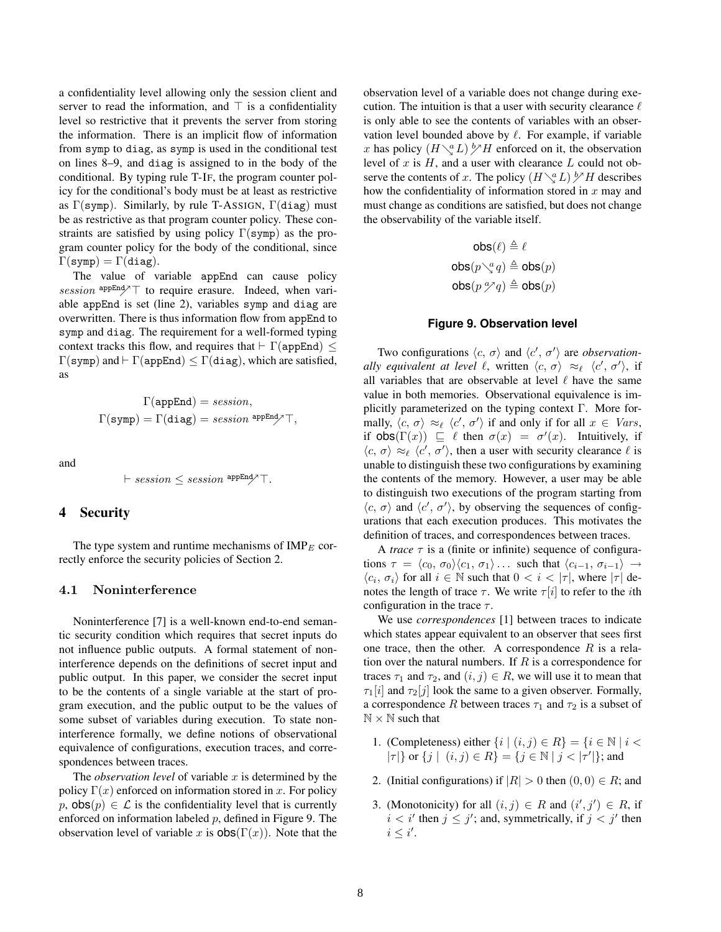a confidentiality level allowing only the session client and server to read the information, and  $\top$  is a confidentiality level so restrictive that it prevents the server from storing the information. There is an implicit flow of information from symp to diag, as symp is used in the conditional test on lines 8–9, and diag is assigned to in the body of the conditional. By typing rule T-IF, the program counter policy for the conditional's body must be at least as restrictive as  $\Gamma(\text{symp})$ . Similarly, by rule T-ASSIGN,  $\Gamma(\text{diag})$  must be as restrictive as that program counter policy. These constraints are satisfied by using policy  $\Gamma(\text{symp})$  as the program counter policy for the body of the conditional, since  $\Gamma(\text{symp}) = \Gamma(\text{diag}).$ 

The value of variable appEnd can cause policy  $session$ <sup>appEnd</sup> $\nearrow$  to require erasure. Indeed, when variable appEnd is set (line 2), variables symp and diag are overwritten. There is thus information flow from appEnd to symp and diag. The requirement for a well-formed typing context tracks this flow, and requires that  $\vdash \Gamma(\text{appEnd}) \leq$ Γ(symp) and  $\vdash$  Γ(appEnd)  $\leq$  Γ(diag), which are satisfied, as

$$
\Gamma(\text{append}) = session,
$$
  

$$
\Gamma(\text{symp}) = \Gamma(\text{diag}) = session \text{ } \text{append} \times \top,
$$

and

$$
\vdash \text{session } \leq \text{session } \text{appEnd} \text{--} \top.
$$

# 4 Security

The type system and runtime mechanisms of  $IMP<sub>E</sub>$  correctly enforce the security policies of Section 2.

### 4.1 Noninterference

Noninterference [7] is a well-known end-to-end semantic security condition which requires that secret inputs do not influence public outputs. A formal statement of noninterference depends on the definitions of secret input and public output. In this paper, we consider the secret input to be the contents of a single variable at the start of program execution, and the public output to be the values of some subset of variables during execution. To state noninterference formally, we define notions of observational equivalence of configurations, execution traces, and correspondences between traces.

The *observation level* of variable x is determined by the policy  $\Gamma(x)$  enforced on information stored in x. For policy p,  $\mathsf{obs}(p) \in \mathcal{L}$  is the confidentiality level that is currently enforced on information labeled  $p$ , defined in Figure 9. The observation level of variable x is  $obs(\Gamma(x))$ . Note that the observation level of a variable does not change during execution. The intuition is that a user with security clearance  $\ell$ is only able to see the contents of variables with an observation level bounded above by  $\ell$ . For example, if variable x has policy  $(H \setminus^a L)$   $\ntriangleright$  H enforced on it, the observation level of x is  $H$ , and a user with clearance  $L$  could not observe the contents of x. The policy  $(H\setminus^a L)$   $\cancel{\triangleright} H$  describes how the confidentiality of information stored in  $x$  may and must change as conditions are satisfied, but does not change the observability of the variable itself.

$$
\begin{aligned}\n\text{obs}(\ell) &\triangleq \ell \\
\text{obs}(p \searrow^a q) &\triangleq \text{obs}(p) \\
\text{obs}(p \not\sim q) &\triangleq \text{obs}(p)\n\end{aligned}
$$

### **Figure 9. Observation level**

Two configurations  $\langle c, \sigma \rangle$  and  $\langle c', \sigma' \rangle$  are *observationally equivalent at level*  $\ell$ , written  $\langle c, \sigma \rangle \approx_{\ell} \langle c', \sigma' \rangle$ , if all variables that are observable at level  $\ell$  have the same value in both memories. Observational equivalence is implicitly parameterized on the typing context Γ. More formally,  $\langle c, \sigma \rangle \approx_{\ell} \langle c', \sigma' \rangle$  if and only if for all  $x \in Vars$ , if  $\textsf{obs}(\Gamma(x)) \subseteq \ell$  then  $\sigma(x) = \sigma'(x)$ . Intuitively, if  $\langle c, \sigma \rangle \approx_{\ell} \langle c', \sigma' \rangle$ , then a user with security clearance  $\ell$  is unable to distinguish these two configurations by examining the contents of the memory. However, a user may be able to distinguish two executions of the program starting from  $\langle c, \sigma \rangle$  and  $\langle c', \sigma' \rangle$ , by observing the sequences of configurations that each execution produces. This motivates the definition of traces, and correspondences between traces.

A *trace* τ is a (finite or infinite) sequence of configurations  $\tau = \langle c_0, \sigma_0 \rangle \langle c_1, \sigma_1 \rangle \dots$  such that  $\langle c_{i-1}, \sigma_{i-1} \rangle \rightarrow$  $\langle c_i, \sigma_i \rangle$  for all  $i \in \mathbb{N}$  such that  $0 < i < |\tau|$ , where  $|\tau|$  denotes the length of trace  $\tau$ . We write  $\tau[i]$  to refer to the *i*th configuration in the trace  $\tau$ .

We use *correspondences* [1] between traces to indicate which states appear equivalent to an observer that sees first one trace, then the other. A correspondence  $R$  is a relation over the natural numbers. If  $R$  is a correspondence for traces  $\tau_1$  and  $\tau_2$ , and  $(i, j) \in R$ , we will use it to mean that  $\tau_1[i]$  and  $\tau_2[j]$  look the same to a given observer. Formally, a correspondence R between traces  $\tau_1$  and  $\tau_2$  is a subset of  $\mathbb{N} \times \mathbb{N}$  such that

- 1. (Completeness) either  $\{i \mid (i, j) \in R\} = \{i \in \mathbb{N} \mid i <$  $|\tau|$  or  $\{j \mid (i, j) \in R\} = \{j \in \mathbb{N} \mid j < |\tau'| \}$ ; and
- 2. (Initial configurations) if  $|R| > 0$  then  $(0, 0) \in R$ ; and
- 3. (Monotonicity) for all  $(i, j) \in R$  and  $(i', j') \in R$ , if  $i < i'$  then  $j \le j'$ ; and, symmetrically, if  $j < j'$  then  $i \leq i'.$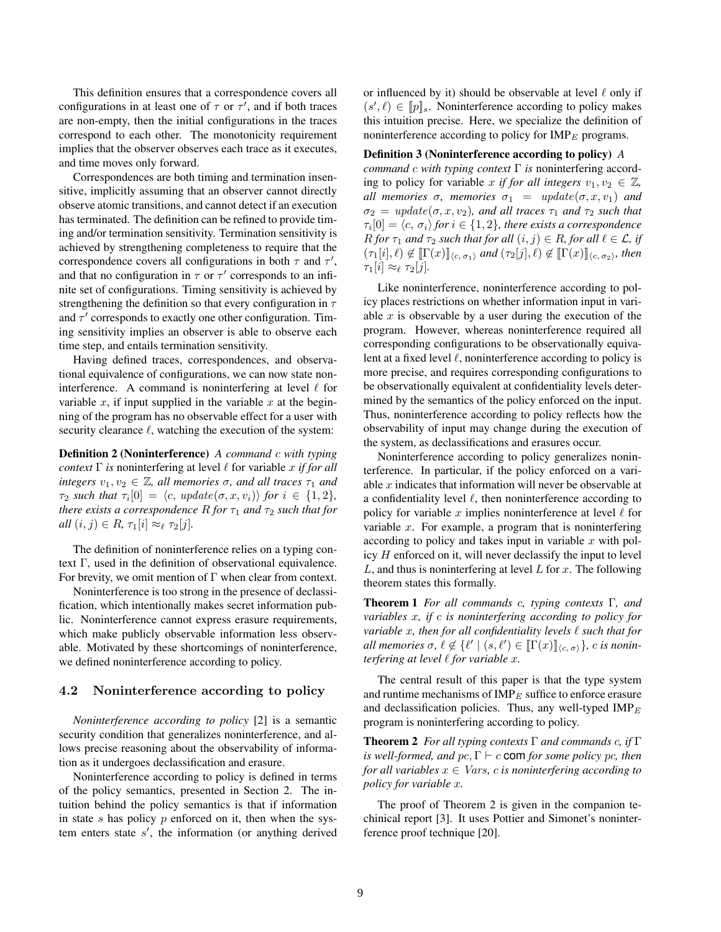This definition ensures that a correspondence covers all configurations in at least one of  $\tau$  or  $\tau'$ , and if both traces are non-empty, then the initial configurations in the traces correspond to each other. The monotonicity requirement implies that the observer observes each trace as it executes, and time moves only forward.

Correspondences are both timing and termination insensitive, implicitly assuming that an observer cannot directly observe atomic transitions, and cannot detect if an execution has terminated. The definition can be refined to provide timing and/or termination sensitivity. Termination sensitivity is achieved by strengthening completeness to require that the correspondence covers all configurations in both  $\tau$  and  $\tau'$ , and that no configuration in  $\tau$  or  $\tau'$  corresponds to an infinite set of configurations. Timing sensitivity is achieved by strengthening the definition so that every configuration in  $\tau$ and  $\tau'$  corresponds to exactly one other configuration. Timing sensitivity implies an observer is able to observe each time step, and entails termination sensitivity.

Having defined traces, correspondences, and observational equivalence of configurations, we can now state noninterference. A command is noninterfering at level  $\ell$  for variable  $x$ , if input supplied in the variable  $x$  at the beginning of the program has no observable effect for a user with security clearance  $\ell$ , watching the execution of the system:

Definition 2 (Noninterference) *A command* c *with typing context*  $\Gamma$  *is* noninterfering at level  $\ell$  for variable x *if for all integers*  $v_1, v_2 \in \mathbb{Z}$ *, all memories*  $\sigma$ *, and all traces*  $\tau_1$  *and*  $\tau_2$  *such that*  $\tau_i[0] = \langle c, \text{update}(\sigma, x, v_i) \rangle$  *for*  $i \in \{1, 2\}$ *, there exists a correspondence*  $R$  *for*  $\tau_1$  *and*  $\tau_2$  *such that for all*  $(i, j) \in R$ ,  $\tau_1[i] \approx_{\ell} \tau_2[j]$ .

The definition of noninterference relies on a typing context Γ, used in the definition of observational equivalence. For brevity, we omit mention of  $\Gamma$  when clear from context.

Noninterference is too strong in the presence of declassification, which intentionally makes secret information public. Noninterference cannot express erasure requirements, which make publicly observable information less observable. Motivated by these shortcomings of noninterference, we defined noninterference according to policy.

### 4.2 Noninterference according to policy

*Noninterference according to policy* [2] is a semantic security condition that generalizes noninterference, and allows precise reasoning about the observability of information as it undergoes declassification and erasure.

Noninterference according to policy is defined in terms of the policy semantics, presented in Section 2. The intuition behind the policy semantics is that if information in state s has policy  $p$  enforced on it, then when the system enters state  $s'$ , the information (or anything derived

or influenced by it) should be observable at level  $\ell$  only if  $(s', \ell) \in [p]_s$ . Noninterference according to policy makes this intuition precise. Here, we specialize the definition of noninterference according to policy for  $IMP<sub>E</sub>$  programs.

### Definition 3 (Noninterference according to policy) *A*

*command* c *with typing context* Γ *is* noninterfering according to policy for variable x *if for all integers*  $v_1, v_2 \in \mathbb{Z}$ , *all memories*  $\sigma$ , *memories*  $\sigma_1$  =  $update(\sigma, x, v_1)$  *and*  $\sigma_2 = update(\sigma, x, v_2)$ , and all traces  $\tau_1$  and  $\tau_2$  *such that*  $\tau_i[0] = \langle c,\,\sigma_i\rangle$  for  $i\in\{1,2\}$ , there exists a correspondence *R* for  $\tau_1$  *and*  $\tau_2$  *such that for all*  $(i, j) \in R$ *, for all*  $\ell \in \mathcal{L}$ *, if*  $(\tau_1[i], \ell) \notin [\![\Gamma(x)]\!]_{\langle c, \sigma_1 \rangle}$  and  $(\tau_2[j], \ell) \notin [\![\Gamma(x)]\!]_{\langle c, \sigma_2 \rangle}$ , then  $\tau_1[i] \approx_{\ell} \tau_2[j].$ 

Like noninterference, noninterference according to policy places restrictions on whether information input in variable  $x$  is observable by a user during the execution of the program. However, whereas noninterference required all corresponding configurations to be observationally equivalent at a fixed level  $\ell$ , noninterference according to policy is more precise, and requires corresponding configurations to be observationally equivalent at confidentiality levels determined by the semantics of the policy enforced on the input. Thus, noninterference according to policy reflects how the observability of input may change during the execution of the system, as declassifications and erasures occur.

Noninterference according to policy generalizes noninterference. In particular, if the policy enforced on a variable  $x$  indicates that information will never be observable at a confidentiality level  $\ell$ , then noninterference according to policy for variable x implies noninterference at level  $\ell$  for variable  $x$ . For example, a program that is noninterfering according to policy and takes input in variable  $x$  with policy  $H$  enforced on it, will never declassify the input to level  $L$ , and thus is noninterfering at level  $L$  for  $x$ . The following theorem states this formally.

Theorem 1 *For all commands* c*, typing contexts* Γ*, and variables* x*, if* c *is noninterfering according to policy for variable*  $x$ *, then for all confidentiality levels*  $\ell$  *such that for all memories*  $\sigma$ ,  $\ell \notin \{\ell' \mid (s, \ell') \in [\![\Gamma(x)]\!]_{\langle c, \sigma \rangle} \}$ , c is nonin*terfering at level*  $\ell$  *for variable x.* 

The central result of this paper is that the type system and runtime mechanisms of  $IMP<sub>E</sub>$  suffice to enforce erasure and declassification policies. Thus, any well-typed  $\emph{IMP}_{E}$ program is noninterfering according to policy.

Theorem 2 *For all typing contexts* Γ *and commands* c*, if* Γ *is well-formed, and*  $pc, \Gamma \vdash c$  **com** *for some policy*  $pc$ *, then for all variables*  $x \in Vars$ *, c is noninterfering according to policy for variable* x*.*

The proof of Theorem 2 is given in the companion techinical report [3]. It uses Pottier and Simonet's noninterference proof technique [20].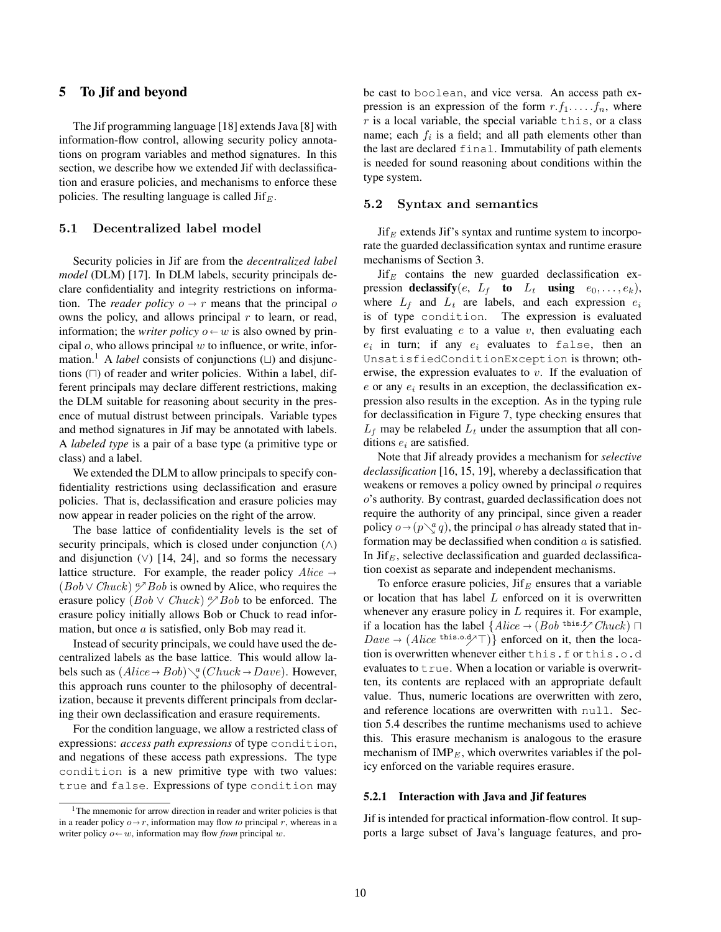### 5 To Jif and beyond

The Jif programming language [18] extends Java [8] with information-flow control, allowing security policy annotations on program variables and method signatures. In this section, we describe how we extended Jif with declassification and erasure policies, and mechanisms to enforce these policies. The resulting language is called  $Jif_E$ .

# 5.1 Decentralized label model

Security policies in Jif are from the *decentralized label model* (DLM) [17]. In DLM labels, security principals declare confidentiality and integrity restrictions on information. The *reader policy*  $o \rightarrow r$  means that the principal o owns the policy, and allows principal  $r$  to learn, or read, information; the *writer policy*  $o \leftarrow w$  is also owned by principal  $o$ , who allows principal  $w$  to influence, or write, information.<sup>1</sup> A *label* consists of conjunctions  $(L)$  and disjunctions  $(\square)$  of reader and writer policies. Within a label, different principals may declare different restrictions, making the DLM suitable for reasoning about security in the presence of mutual distrust between principals. Variable types and method signatures in Jif may be annotated with labels. A *labeled type* is a pair of a base type (a primitive type or class) and a label.

We extended the DLM to allow principals to specify confidentiality restrictions using declassification and erasure policies. That is, declassification and erasure policies may now appear in reader policies on the right of the arrow.

The base lattice of confidentiality levels is the set of security principals, which is closed under conjunction  $( \wedge )$ and disjunction  $(\vee)$  [14, 24], and so forms the necessary lattice structure. For example, the reader policy  $Alice \rightarrow$  $(Bob \vee Chuck) \nrightarrow Bob$  is owned by Alice, who requires the erasure policy  $(Bob \vee Chuck) \nightharpoonup Bob$  to be enforced. The erasure policy initially allows Bob or Chuck to read information, but once a is satisfied, only Bob may read it.

Instead of security principals, we could have used the decentralized labels as the base lattice. This would allow labels such as  $(Alice \rightarrow Bob) \setminus {^a}(Chuck \rightarrow Dave)$ . However, this approach runs counter to the philosophy of decentralization, because it prevents different principals from declaring their own declassification and erasure requirements.

For the condition language, we allow a restricted class of expressions: *access path expressions* of type condition, and negations of these access path expressions. The type condition is a new primitive type with two values: true and false. Expressions of type condition may

be cast to boolean, and vice versa. An access path expression is an expression of the form  $r.f_1$ .... $f_n$ , where  $r$  is a local variable, the special variable this, or a class name; each  $f_i$  is a field; and all path elements other than the last are declared final. Immutability of path elements is needed for sound reasoning about conditions within the type system.

### 5.2 Syntax and semantics

 $Jif_E$  extends Jif's syntax and runtime system to incorporate the guarded declassification syntax and runtime erasure mechanisms of Section 3.

 $Jif_E$  contains the new guarded declassification expression **declassify** $(e, L_f$  **to**  $L_t$  **using**  $e_0, \ldots, e_k$ ), where  $L_f$  and  $L_t$  are labels, and each expression  $e_i$ is of type condition. The expression is evaluated by first evaluating  $e$  to a value  $v$ , then evaluating each  $e_i$  in turn; if any  $e_i$  evaluates to false, then an UnsatisfiedConditionException is thrown; otherwise, the expression evaluates to  $v$ . If the evaluation of  $e$  or any  $e_i$  results in an exception, the declassification expression also results in the exception. As in the typing rule for declassification in Figure 7, type checking ensures that  $L_f$  may be relabeled  $L_t$  under the assumption that all conditions  $e_i$  are satisfied.

Note that Jif already provides a mechanism for *selective declassification* [16, 15, 19], whereby a declassification that weakens or removes a policy owned by principal o requires o's authority. By contrast, guarded declassification does not require the authority of any principal, since given a reader policy  $o \rightarrow (p \setminus q)$ , the principal o has already stated that information may be declassified when condition  $a$  is satisfied. In Jif<sub>E</sub>, selective declassification and guarded declassification coexist as separate and independent mechanisms.

To enforce erasure policies, Jif $_E$  ensures that a variable or location that has label  $L$  enforced on it is overwritten whenever any erasure policy in  $L$  requires it. For example, if a location has the label  $\{Alice \rightarrow (Bob \text{ this.f} \geq Chuck) \sqcap$  $Dave \rightarrow (Alice \text{ this.o.d} \rightarrow \top)$ } enforced on it, then the location is overwritten whenever either this.f or this.o.d evaluates to true. When a location or variable is overwritten, its contents are replaced with an appropriate default value. Thus, numeric locations are overwritten with zero, and reference locations are overwritten with null. Section 5.4 describes the runtime mechanisms used to achieve this. This erasure mechanism is analogous to the erasure mechanism of  $IMP<sub>E</sub>$ , which overwrites variables if the policy enforced on the variable requires erasure.

#### 5.2.1 Interaction with Java and Jif features

Jif is intended for practical information-flow control. It supports a large subset of Java's language features, and pro-

<sup>&</sup>lt;sup>1</sup>The mnemonic for arrow direction in reader and writer policies is that in a reader policy  $o \rightarrow r$ , information may flow *to* principal r, whereas in a writer policy  $o \leftarrow w$ , information may flow *from* principal w.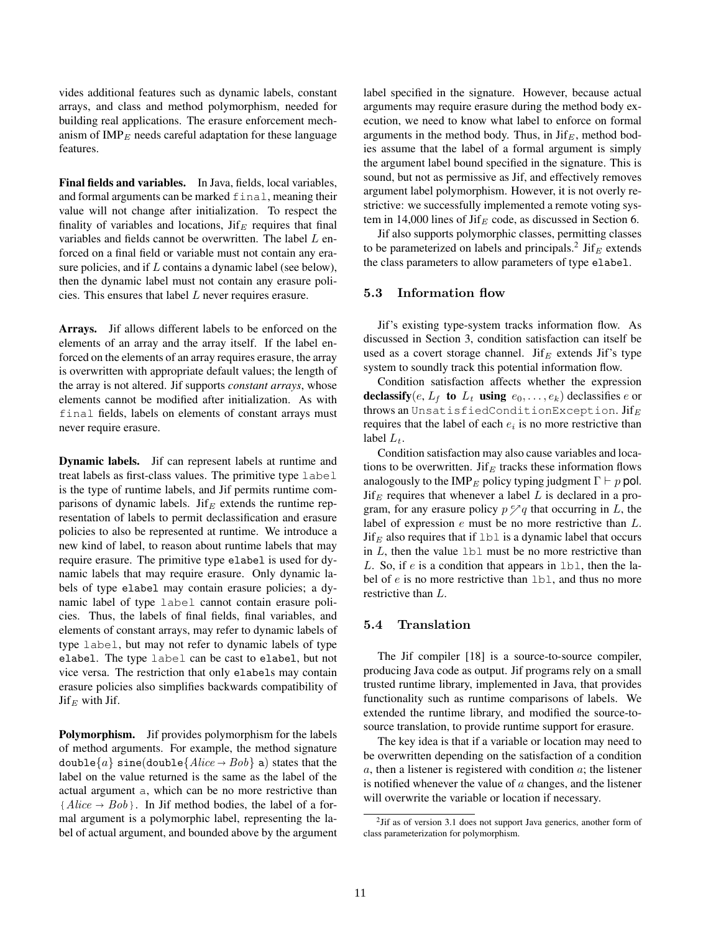vides additional features such as dynamic labels, constant arrays, and class and method polymorphism, needed for building real applications. The erasure enforcement mechanism of  $IMP<sub>E</sub>$  needs careful adaptation for these language features.

Final fields and variables. In Java, fields, local variables, and formal arguments can be marked final, meaning their value will not change after initialization. To respect the finality of variables and locations,  $\text{Jif}_{E}$  requires that final variables and fields cannot be overwritten. The label L enforced on a final field or variable must not contain any erasure policies, and if L contains a dynamic label (see below), then the dynamic label must not contain any erasure policies. This ensures that label L never requires erasure.

Arrays. Jif allows different labels to be enforced on the elements of an array and the array itself. If the label enforced on the elements of an array requires erasure, the array is overwritten with appropriate default values; the length of the array is not altered. Jif supports *constant arrays*, whose elements cannot be modified after initialization. As with final fields, labels on elements of constant arrays must never require erasure.

Dynamic labels. Jif can represent labels at runtime and treat labels as first-class values. The primitive type label is the type of runtime labels, and Jif permits runtime comparisons of dynamic labels. Jif $_E$  extends the runtime representation of labels to permit declassification and erasure policies to also be represented at runtime. We introduce a new kind of label, to reason about runtime labels that may require erasure. The primitive type elabel is used for dynamic labels that may require erasure. Only dynamic labels of type elabel may contain erasure policies; a dynamic label of type label cannot contain erasure policies. Thus, the labels of final fields, final variables, and elements of constant arrays, may refer to dynamic labels of type label, but may not refer to dynamic labels of type elabel. The type label can be cast to elabel, but not vice versa. The restriction that only elabels may contain erasure policies also simplifies backwards compatibility of  $Jif_E$  with Jif.

Polymorphism. Jif provides polymorphism for the labels of method arguments. For example, the method signature double ${a}$  sine(double ${Alice \rightarrow Bob}$ ) states that the label on the value returned is the same as the label of the actual argument a, which can be no more restrictive than  ${Alice \rightarrow Bob}$ . In Jif method bodies, the label of a formal argument is a polymorphic label, representing the label of actual argument, and bounded above by the argument label specified in the signature. However, because actual arguments may require erasure during the method body execution, we need to know what label to enforce on formal arguments in the method body. Thus, in  $Jif_E$ , method bodies assume that the label of a formal argument is simply the argument label bound specified in the signature. This is sound, but not as permissive as Jif, and effectively removes argument label polymorphism. However, it is not overly restrictive: we successfully implemented a remote voting system in 14,000 lines of Jif<sub>E</sub> code, as discussed in Section 6.

Jif also supports polymorphic classes, permitting classes to be parameterized on labels and principals.<sup>2</sup> Jif<sub>E</sub> extends the class parameters to allow parameters of type elabel.

# 5.3 Information flow

Jif's existing type-system tracks information flow. As discussed in Section 3, condition satisfaction can itself be used as a covert storage channel. Jif $<sub>E</sub>$  extends Jif's type</sub> system to soundly track this potential information flow.

Condition satisfaction affects whether the expression declassify(*e*,  $L_f$  to  $L_t$  using  $e_0, \ldots, e_k$ ) declassifies *e* or throws an UnsatisfiedConditionException.  $\text{Jif}_E$ requires that the label of each  $e_i$  is no more restrictive than label  $L_t$ .

Condition satisfaction may also cause variables and locations to be overwritten. Jif<sub>E</sub> tracks these information flows analogously to the IMP<sub>E</sub> policy typing judgment  $\Gamma \vdash p$  pol.  $Jif_E$  requires that whenever a label L is declared in a program, for any erasure policy  $p \nless q$  that occurring in L, the label of expression e must be no more restrictive than L.  $Jif_E$  also requires that if  $lbL$  is a dynamic label that occurs in  $L$ , then the value  $\Delta$ b $\Delta$  must be no more restrictive than L. So, if  $e$  is a condition that appears in  $lb$ , then the label of  $e$  is no more restrictive than  $lb1$ , and thus no more restrictive than L.

### 5.4 Translation

The Jif compiler [18] is a source-to-source compiler, producing Java code as output. Jif programs rely on a small trusted runtime library, implemented in Java, that provides functionality such as runtime comparisons of labels. We extended the runtime library, and modified the source-tosource translation, to provide runtime support for erasure.

The key idea is that if a variable or location may need to be overwritten depending on the satisfaction of a condition  $a$ , then a listener is registered with condition  $a$ ; the listener is notified whenever the value of  $a$  changes, and the listener will overwrite the variable or location if necessary.

 $2$ Jif as of version 3.1 does not support Java generics, another form of class parameterization for polymorphism.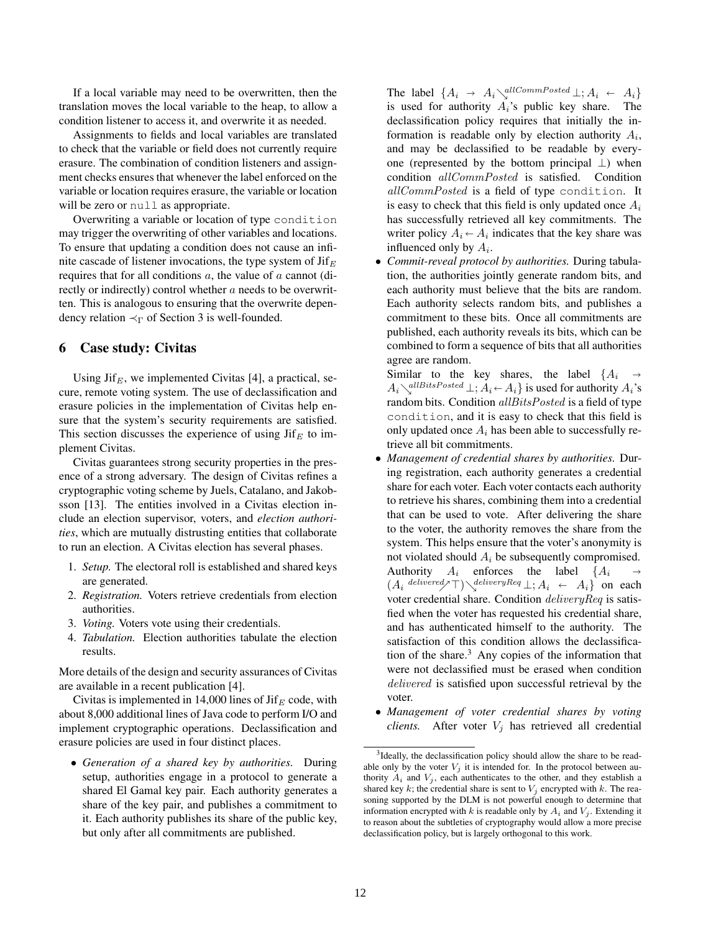If a local variable may need to be overwritten, then the translation moves the local variable to the heap, to allow a condition listener to access it, and overwrite it as needed.

Assignments to fields and local variables are translated to check that the variable or field does not currently require erasure. The combination of condition listeners and assignment checks ensures that whenever the label enforced on the variable or location requires erasure, the variable or location will be zero or null as appropriate.

Overwriting a variable or location of type condition may trigger the overwriting of other variables and locations. To ensure that updating a condition does not cause an infinite cascade of listener invocations, the type system of  $Jif_E$ requires that for all conditions  $a$ , the value of  $a$  cannot (directly or indirectly) control whether a needs to be overwritten. This is analogous to ensuring that the overwrite dependency relation  $\prec_{\Gamma}$  of Section 3 is well-founded.

# 6 Case study: Civitas

Using Jif<sub>E</sub>, we implemented Civitas [4], a practical, secure, remote voting system. The use of declassification and erasure policies in the implementation of Civitas help ensure that the system's security requirements are satisfied. This section discusses the experience of using  $\text{Jif}_{E}$  to implement Civitas.

Civitas guarantees strong security properties in the presence of a strong adversary. The design of Civitas refines a cryptographic voting scheme by Juels, Catalano, and Jakobsson [13]. The entities involved in a Civitas election include an election supervisor, voters, and *election authorities*, which are mutually distrusting entities that collaborate to run an election. A Civitas election has several phases.

- 1. *Setup.* The electoral roll is established and shared keys are generated.
- 2. *Registration.* Voters retrieve credentials from election authorities.
- 3. *Voting.* Voters vote using their credentials.
- 4. *Tabulation.* Election authorities tabulate the election results.

More details of the design and security assurances of Civitas are available in a recent publication [4].

Civitas is implemented in 14,000 lines of Jif $_F$  code, with about 8,000 additional lines of Java code to perform I/O and implement cryptographic operations. Declassification and erasure policies are used in four distinct places.

• *Generation of a shared key by authorities.* During setup, authorities engage in a protocol to generate a shared El Gamal key pair. Each authority generates a share of the key pair, and publishes a commitment to it. Each authority publishes its share of the public key, but only after all commitments are published.

The label  $\{A_i \rightarrow A_i\setminus\!allCommPosted} \perp; A_i \leftarrow A_i\}$ is used for authority  $A_i$ 's public key share. The declassification policy requires that initially the information is readable only by election authority  $A_i$ , and may be declassified to be readable by everyone (represented by the bottom principal ⊥) when condition allCommPosted is satisfied. Condition allCommPosted is a field of type condition. It is easy to check that this field is only updated once  $A_i$ has successfully retrieved all key commitments. The writer policy  $A_i \leftarrow A_i$  indicates that the key share was<br>influenced only by  $A_i$ influenced only by  $A_i$ .

• *Commit-reveal protocol by authorities.* During tabulation, the authorities jointly generate random bits, and each authority must believe that the bits are random. Each authority selects random bits, and publishes a commitment to these bits. Once all commitments are published, each authority reveals its bits, which can be combined to form a sequence of bits that all authorities agree are random.

Similar to the key shares, the label  $\{A_i\}$  $A_i\setminus a^{llBitsPosted} \perp; A_i \leftarrow A_i$  is used for authority  $A_i$ 's random bits. Condition allBitsPosted is a field of type condition, and it is easy to check that this field is only updated once  $A_i$  has been able to successfully retrieve all bit commitments.

- *Management of credential shares by authorities.* During registration, each authority generates a credential share for each voter. Each voter contacts each authority to retrieve his shares, combining them into a credential that can be used to vote. After delivering the share to the voter, the authority removes the share from the system. This helps ensure that the voter's anonymity is not violated should  $A_i$  be subsequently compromised. Authority  $A_i$  enforces the label  $\{A_i \rightarrow (A_i \text{ delivered} \neq \top) \setminus \text{deliveryReg} \perp; A_i \leftarrow A_i\}$  on each vector credential chara Condition delivery Req is satis voter credential share. Condition *deliveryReq* is satisfied when the voter has requested his credential share, and has authenticated himself to the authority. The satisfaction of this condition allows the declassification of the share. $3$  Any copies of the information that were not declassified must be erased when condition delivered is satisfied upon successful retrieval by the voter.
- *Management of voter credential shares by voting clients.* After voter  $V_j$  has retrieved all credential

<sup>&</sup>lt;sup>3</sup>Ideally, the declassification policy should allow the share to be readable only by the voter  $V_j$  it is intended for. In the protocol between authority  $A_i$  and  $V_j$ , each authenticates to the other, and they establish a shared key k; the credential share is sent to  $V_j$  encrypted with k. The reasoning supported by the DLM is not powerful enough to determine that information encrypted with k is readable only by  $A_i$  and  $V_i$ . Extending it to reason about the subtleties of cryptography would allow a more precise declassification policy, but is largely orthogonal to this work.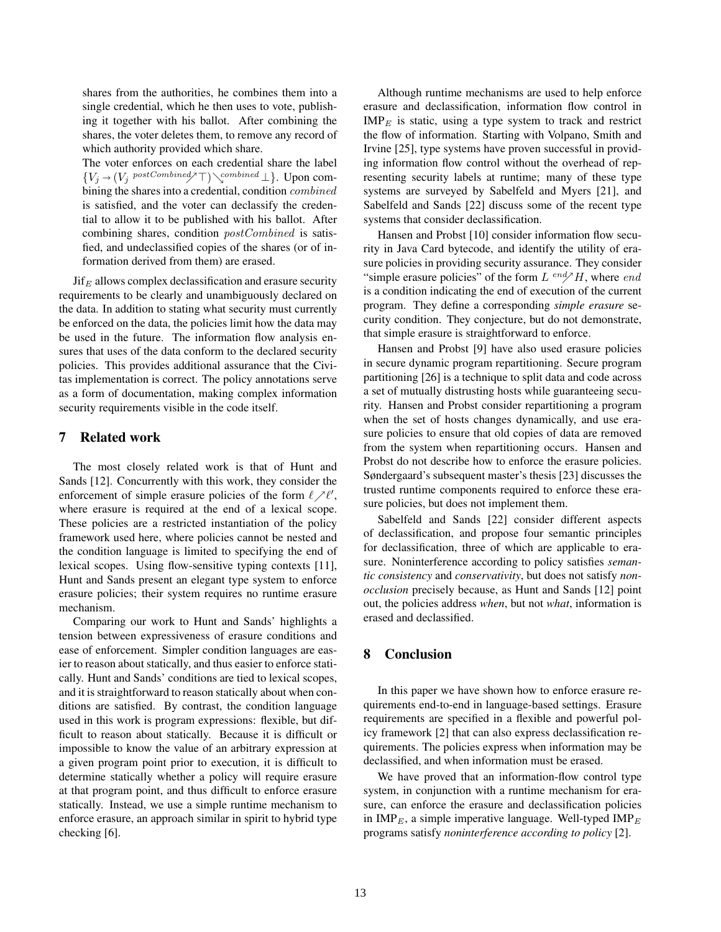shares from the authorities, he combines them into a single credential, which he then uses to vote, publishing it together with his ballot. After combining the shares, the voter deletes them, to remove any record of which authority provided which share.

The voter enforces on each credential share the label  $\{V_j \rightarrow (V_j \text{ postCombined} \top) \searrow combined \bot\}.$  Upon com-<br>hining the shares into a credential condition combined bining the shares into a credential, condition *combined* is satisfied, and the voter can declassify the credential to allow it to be published with his ballot. After combining shares, condition *postCombined* is satisfied, and undeclassified copies of the shares (or of information derived from them) are erased.

 $Jif_E$  allows complex declassification and erasure security requirements to be clearly and unambiguously declared on the data. In addition to stating what security must currently be enforced on the data, the policies limit how the data may be used in the future. The information flow analysis ensures that uses of the data conform to the declared security policies. This provides additional assurance that the Civitas implementation is correct. The policy annotations serve as a form of documentation, making complex information security requirements visible in the code itself.

### 7 Related work

The most closely related work is that of Hunt and Sands [12]. Concurrently with this work, they consider the enforcement of simple erasure policies of the form  $\ell \nearrow \ell'$ , where erasure is required at the end of a lexical scope. These policies are a restricted instantiation of the policy framework used here, where policies cannot be nested and the condition language is limited to specifying the end of lexical scopes. Using flow-sensitive typing contexts [11], Hunt and Sands present an elegant type system to enforce erasure policies; their system requires no runtime erasure mechanism.

Comparing our work to Hunt and Sands' highlights a tension between expressiveness of erasure conditions and ease of enforcement. Simpler condition languages are easier to reason about statically, and thus easier to enforce statically. Hunt and Sands' conditions are tied to lexical scopes, and it is straightforward to reason statically about when conditions are satisfied. By contrast, the condition language used in this work is program expressions: flexible, but difficult to reason about statically. Because it is difficult or impossible to know the value of an arbitrary expression at a given program point prior to execution, it is difficult to determine statically whether a policy will require erasure at that program point, and thus difficult to enforce erasure statically. Instead, we use a simple runtime mechanism to enforce erasure, an approach similar in spirit to hybrid type checking [6].

Although runtime mechanisms are used to help enforce erasure and declassification, information flow control in  $IMP<sub>E</sub>$  is static, using a type system to track and restrict the flow of information. Starting with Volpano, Smith and Irvine [25], type systems have proven successful in providing information flow control without the overhead of representing security labels at runtime; many of these type systems are surveyed by Sabelfeld and Myers [21], and Sabelfeld and Sands [22] discuss some of the recent type systems that consider declassification.

Hansen and Probst [10] consider information flow security in Java Card bytecode, and identify the utility of erasure policies in providing security assurance. They consider "simple erasure policies" of the form  $L^{end}/H$ , where end is a condition indicating the end of execution of the current program. They define a corresponding *simple erasure* security condition. They conjecture, but do not demonstrate, that simple erasure is straightforward to enforce.

Hansen and Probst [9] have also used erasure policies in secure dynamic program repartitioning. Secure program partitioning [26] is a technique to split data and code across a set of mutually distrusting hosts while guaranteeing security. Hansen and Probst consider repartitioning a program when the set of hosts changes dynamically, and use erasure policies to ensure that old copies of data are removed from the system when repartitioning occurs. Hansen and Probst do not describe how to enforce the erasure policies. Søndergaard's subsequent master's thesis [23] discusses the trusted runtime components required to enforce these erasure policies, but does not implement them.

Sabelfeld and Sands [22] consider different aspects of declassification, and propose four semantic principles for declassification, three of which are applicable to erasure. Noninterference according to policy satisfies *semantic consistency* and *conservativity*, but does not satisfy *nonocclusion* precisely because, as Hunt and Sands [12] point out, the policies address *when*, but not *what*, information is erased and declassified.

# 8 Conclusion

In this paper we have shown how to enforce erasure requirements end-to-end in language-based settings. Erasure requirements are specified in a flexible and powerful policy framework [2] that can also express declassification requirements. The policies express when information may be declassified, and when information must be erased.

We have proved that an information-flow control type system, in conjunction with a runtime mechanism for erasure, can enforce the erasure and declassification policies in IMP<sub>E</sub>, a simple imperative language. Well-typed IMP<sub>E</sub> programs satisfy *noninterference according to policy* [2].